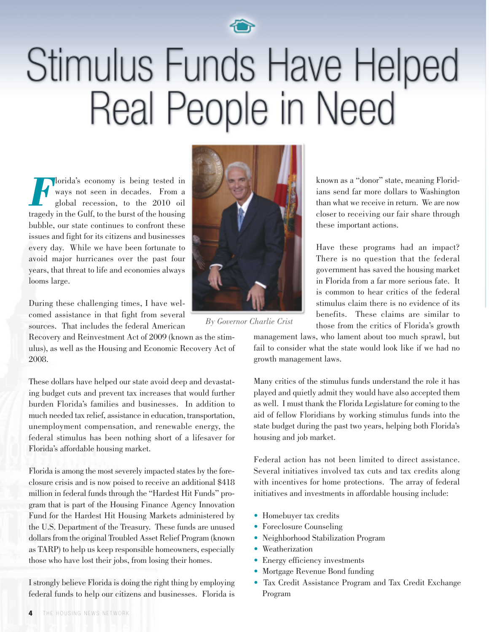

## Stimulus Funds Have Helped Real People in Need

**Florida's economy is being tested in**<br>ways not seen in decades. From a global recession, to the 2010 oil ways not seen in decades. From a global recession, to the 2010 oil tragedy in the Gulf, to the burst of the housing bubble, our state continues to confront these issues and fight for its citizens and businesses every day. While we have been fortunate to avoid major hurricanes over the past four years, that threat to life and economies always looms large.

During these challenging times, I have welcomed assistance in that fight from several sources. That includes the federal American

Recovery and Reinvestment Act of 2009 (known as the stimulus), as well as the Housing and Economic Recovery Act of 2008.

These dollars have helped our state avoid deep and devastating budget cuts and prevent tax increases that would further burden Florida's families and businesses. In addition to much needed tax relief, assistance in education, transportation, unemployment compensation, and renewable energy, the federal stimulus has been nothing short of a lifesaver for Florida's affordable housing market.

Florida is among the most severely impacted states by the foreclosure crisis and is now poised to receive an additional \$418 million in federal funds through the "Hardest Hit Funds" program that is part of the Housing Finance Agency Innovation Fund for the Hardest Hit Housing Markets administered by the U.S. Department of the Treasury. These funds are unused dollars from the original Troubled Asset Relief Program (known) as TARP) to help us keep responsible homeowners, especially those who have lost their jobs, from losing their homes.

I strongly believe Florida is doing the right thing by employing federal funds to help our citizens and businesses. Florida is



*By Governor Charlie Crist*

known as a "donor" state, meaning Floridians send far more dollars to Washington than what we receive in return. We are now closer to receiving our fair share through these important actions.

Have these programs had an impact? There is no question that the federal government has saved the housing market in Florida from a far more serious fate. It is common to hear critics of the federal stimulus claim there is no evidence of its benefits. These claims are similar to those from the critics of Florida's growth

management laws, who lament about too much sprawl, but fail to consider what the state would look like if we had no growth management laws.

Many critics of the stimulus funds understand the role it has played and quietly admit they would have also accepted them as well. I must thank the Florida Legislature for coming to the aid of fellow Floridians by working stimulus funds into the state budget during the past two years, helping both Florida's housing and job market.

Federal action has not been limited to direct assistance. Several initiatives involved tax cuts and tax credits along with incentives for home protections. The array of federal initiatives and investments in affordable housing include:

- Homebuyer tax credits
- Foreclosure Counseling
- Neighborhood Stabilization Program
- Weatherization
- Energy efficiency investments
- Mortgage Revenue Bond funding
- Tax Credit Assistance Program and Tax Credit Exchange Program